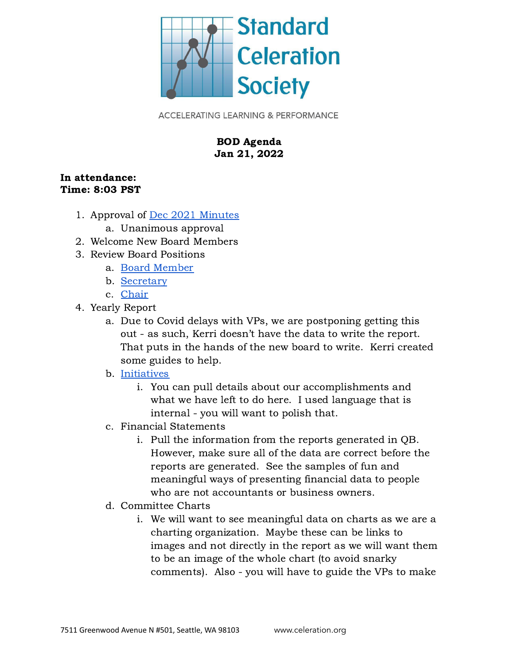

**ACCELERATING LEARNING & PERFORMANCE** 

## BOD Agenda Jan 21, 2022

## In attendance: Time: 8:03 PST

- 1. Approval of Dec 2021 [Minutes](https://docs.google.com/document/d/1FcgW3luE_gEduF5zGzd0WGUlYDhLNS2h/edit)
	- a. Unanimous approval
- 2. Welcome New Board Members
- 3. Review Board Positions
	- a. Board [Member](https://docs.google.com/document/u/1/d/1ZWjtxvScYcEmHp-fnzC0k7gk_OAKmVghqoDADFA05As/edit)
	- b. [Secretary](https://docs.google.com/document/u/1/d/13efG4mEvJlS8YNeUBhVLAmZVNoAlsOZrH9YSXkavSG0/edit)
	- c. [Chair](https://docs.google.com/document/d/1__At9jHkxSb43EbmEvxUqjXY2pRsDWKOxIbme7Z8OFE/edit)
- 4. Yearly Report
	- a. Due to Covid delays with VPs, we are postponing getting this out - as such, Kerri doesn't have the data to write the report. That puts in the hands of the new board to write. Kerri created some guides to help.

## b. [Initiatives](https://docs.google.com/document/u/1/d/1k0qb9_a9ZmnBFbcue0WwNM-NPyRr0fl9cHtXtYczILU/edit)

- i. You can pull details about our accomplishments and what we have left to do here. I used language that is internal - you will want to polish that.
- c. Financial Statements
	- i. Pull the information from the reports generated in QB. However, make sure all of the data are correct before the reports are generated. See the samples of fun and meaningful ways of presenting financial data to people who are not accountants or business owners.
- d. Committee Charts
	- i. We will want to see meaningful data on charts as we are a charting organization. Maybe these can be links to images and not directly in the report as we will want them to be an image of the whole chart (to avoid snarky comments). Also - you will have to guide the VPs to make